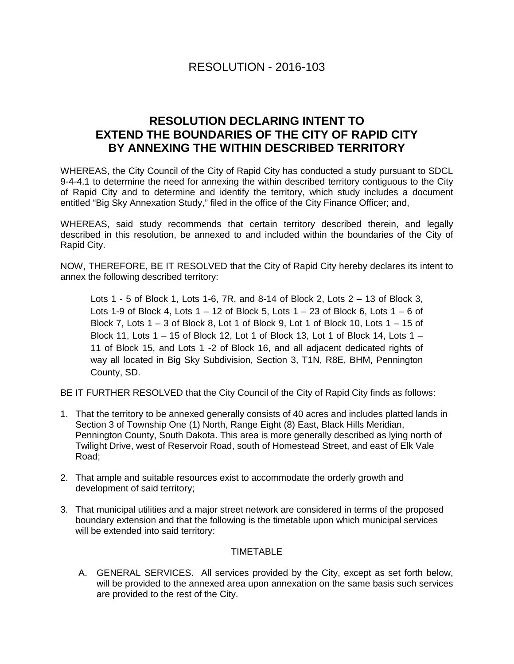## **RESOLUTION DECLARING INTENT TO EXTEND THE BOUNDARIES OF THE CITY OF RAPID CITY BY ANNEXING THE WITHIN DESCRIBED TERRITORY**

WHEREAS, the City Council of the City of Rapid City has conducted a study pursuant to SDCL 9-4-4.1 to determine the need for annexing the within described territory contiguous to the City of Rapid City and to determine and identify the territory, which study includes a document entitled "Big Sky Annexation Study," filed in the office of the City Finance Officer; and,

WHEREAS, said study recommends that certain territory described therein, and legally described in this resolution, be annexed to and included within the boundaries of the City of Rapid City.

NOW, THEREFORE, BE IT RESOLVED that the City of Rapid City hereby declares its intent to annex the following described territory:

Lots 1 - 5 of Block 1, Lots 1-6, 7R, and 8-14 of Block 2, Lots 2 – 13 of Block 3, Lots 1-9 of Block 4, Lots  $1 - 12$  of Block 5, Lots  $1 - 23$  of Block 6, Lots  $1 - 6$  of Block 7, Lots 1 – 3 of Block 8, Lot 1 of Block 9, Lot 1 of Block 10, Lots 1 – 15 of Block 11, Lots 1 – 15 of Block 12, Lot 1 of Block 13, Lot 1 of Block 14, Lots 1 – 11 of Block 15, and Lots 1 -2 of Block 16, and all adjacent dedicated rights of way all located in Big Sky Subdivision, Section 3, T1N, R8E, BHM, Pennington County, SD.

BE IT FURTHER RESOLVED that the City Council of the City of Rapid City finds as follows:

- 1. That the territory to be annexed generally consists of 40 acres and includes platted lands in Section 3 of Township One (1) North, Range Eight (8) East, Black Hills Meridian, Pennington County, South Dakota. This area is more generally described as lying north of Twilight Drive, west of Reservoir Road, south of Homestead Street, and east of Elk Vale Road;
- 2. That ample and suitable resources exist to accommodate the orderly growth and development of said territory;
- 3. That municipal utilities and a major street network are considered in terms of the proposed boundary extension and that the following is the timetable upon which municipal services will be extended into said territory:

## TIMETABLE

A. GENERAL SERVICES. All services provided by the City, except as set forth below, will be provided to the annexed area upon annexation on the same basis such services are provided to the rest of the City.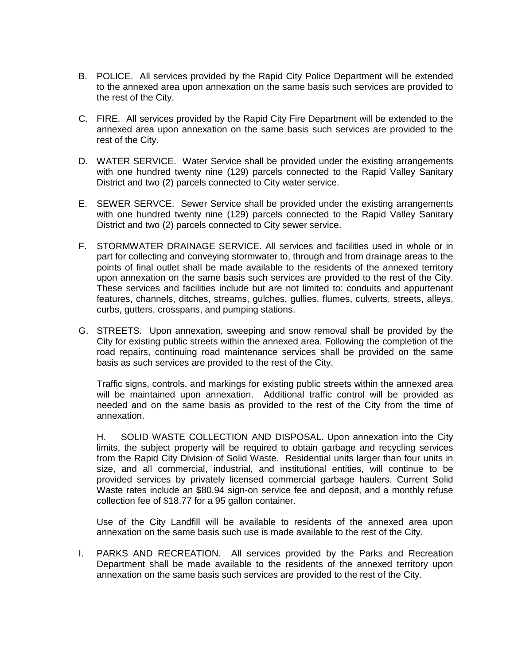- B. POLICE. All services provided by the Rapid City Police Department will be extended to the annexed area upon annexation on the same basis such services are provided to the rest of the City.
- C. FIRE. All services provided by the Rapid City Fire Department will be extended to the annexed area upon annexation on the same basis such services are provided to the rest of the City.
- D. WATER SERVICE. Water Service shall be provided under the existing arrangements with one hundred twenty nine (129) parcels connected to the Rapid Valley Sanitary District and two (2) parcels connected to City water service.
- E. SEWER SERVCE. Sewer Service shall be provided under the existing arrangements with one hundred twenty nine (129) parcels connected to the Rapid Valley Sanitary District and two (2) parcels connected to City sewer service.
- F. STORMWATER DRAINAGE SERVICE. All services and facilities used in whole or in part for collecting and conveying stormwater to, through and from drainage areas to the points of final outlet shall be made available to the residents of the annexed territory upon annexation on the same basis such services are provided to the rest of the City. These services and facilities include but are not limited to: conduits and appurtenant features, channels, ditches, streams, gulches, gullies, flumes, culverts, streets, alleys, curbs, gutters, crosspans, and pumping stations.
- G. STREETS. Upon annexation, sweeping and snow removal shall be provided by the City for existing public streets within the annexed area. Following the completion of the road repairs, continuing road maintenance services shall be provided on the same basis as such services are provided to the rest of the City.

Traffic signs, controls, and markings for existing public streets within the annexed area will be maintained upon annexation. Additional traffic control will be provided as needed and on the same basis as provided to the rest of the City from the time of annexation.

H. SOLID WASTE COLLECTION AND DISPOSAL. Upon annexation into the City limits, the subject property will be required to obtain garbage and recycling services from the Rapid City Division of Solid Waste. Residential units larger than four units in size, and all commercial, industrial, and institutional entities, will continue to be provided services by privately licensed commercial garbage haulers. Current Solid Waste rates include an \$80.94 sign-on service fee and deposit, and a monthly refuse collection fee of \$18.77 for a 95 gallon container.

Use of the City Landfill will be available to residents of the annexed area upon annexation on the same basis such use is made available to the rest of the City.

I. PARKS AND RECREATION. All services provided by the Parks and Recreation Department shall be made available to the residents of the annexed territory upon annexation on the same basis such services are provided to the rest of the City.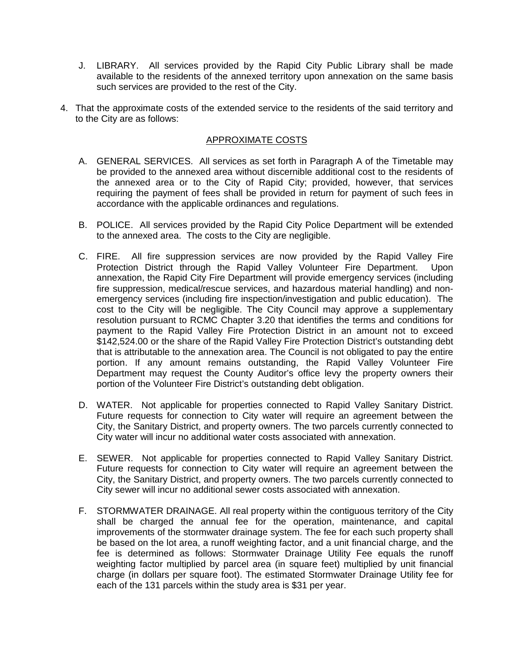- J. LIBRARY. All services provided by the Rapid City Public Library shall be made available to the residents of the annexed territory upon annexation on the same basis such services are provided to the rest of the City.
- 4. That the approximate costs of the extended service to the residents of the said territory and to the City are as follows:

## APPROXIMATE COSTS

- A. GENERAL SERVICES. All services as set forth in Paragraph A of the Timetable may be provided to the annexed area without discernible additional cost to the residents of the annexed area or to the City of Rapid City; provided, however, that services requiring the payment of fees shall be provided in return for payment of such fees in accordance with the applicable ordinances and regulations.
- B. POLICE. All services provided by the Rapid City Police Department will be extended to the annexed area. The costs to the City are negligible.
- C. FIRE. All fire suppression services are now provided by the Rapid Valley Fire Protection District through the Rapid Valley Volunteer Fire Department. Upon annexation, the Rapid City Fire Department will provide emergency services (including fire suppression, medical/rescue services, and hazardous material handling) and nonemergency services (including fire inspection/investigation and public education). The cost to the City will be negligible. The City Council may approve a supplementary resolution pursuant to RCMC Chapter 3.20 that identifies the terms and conditions for payment to the Rapid Valley Fire Protection District in an amount not to exceed \$142,524.00 or the share of the Rapid Valley Fire Protection District's outstanding debt that is attributable to the annexation area. The Council is not obligated to pay the entire portion. If any amount remains outstanding, the Rapid Valley Volunteer Fire Department may request the County Auditor's office levy the property owners their portion of the Volunteer Fire District's outstanding debt obligation.
- D. WATER. Not applicable for properties connected to Rapid Valley Sanitary District. Future requests for connection to City water will require an agreement between the City, the Sanitary District, and property owners. The two parcels currently connected to City water will incur no additional water costs associated with annexation.
- E. SEWER. Not applicable for properties connected to Rapid Valley Sanitary District. Future requests for connection to City water will require an agreement between the City, the Sanitary District, and property owners. The two parcels currently connected to City sewer will incur no additional sewer costs associated with annexation.
- F. STORMWATER DRAINAGE. All real property within the contiguous territory of the City shall be charged the annual fee for the operation, maintenance, and capital improvements of the stormwater drainage system. The fee for each such property shall be based on the lot area, a runoff weighting factor, and a unit financial charge, and the fee is determined as follows: Stormwater Drainage Utility Fee equals the runoff weighting factor multiplied by parcel area (in square feet) multiplied by unit financial charge (in dollars per square foot). The estimated Stormwater Drainage Utility fee for each of the 131 parcels within the study area is \$31 per year.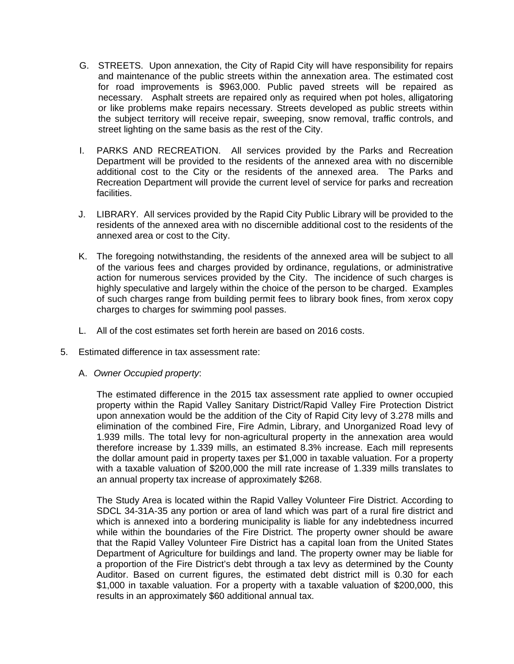- G. STREETS. Upon annexation, the City of Rapid City will have responsibility for repairs and maintenance of the public streets within the annexation area. The estimated cost for road improvements is \$963,000. Public paved streets will be repaired as necessary. Asphalt streets are repaired only as required when pot holes, alligatoring or like problems make repairs necessary. Streets developed as public streets within the subject territory will receive repair, sweeping, snow removal, traffic controls, and street lighting on the same basis as the rest of the City.
- I. PARKS AND RECREATION. All services provided by the Parks and Recreation Department will be provided to the residents of the annexed area with no discernible additional cost to the City or the residents of the annexed area. The Parks and Recreation Department will provide the current level of service for parks and recreation facilities.
- J. LIBRARY. All services provided by the Rapid City Public Library will be provided to the residents of the annexed area with no discernible additional cost to the residents of the annexed area or cost to the City.
- K. The foregoing notwithstanding, the residents of the annexed area will be subject to all of the various fees and charges provided by ordinance, regulations, or administrative action for numerous services provided by the City. The incidence of such charges is highly speculative and largely within the choice of the person to be charged. Examples of such charges range from building permit fees to library book fines, from xerox copy charges to charges for swimming pool passes.
- L. All of the cost estimates set forth herein are based on 2016 costs.
- 5. Estimated difference in tax assessment rate:
	- A. *Owner Occupied property*:

The estimated difference in the 2015 tax assessment rate applied to owner occupied property within the Rapid Valley Sanitary District/Rapid Valley Fire Protection District upon annexation would be the addition of the City of Rapid City levy of 3.278 mills and elimination of the combined Fire, Fire Admin, Library, and Unorganized Road levy of 1.939 mills. The total levy for non-agricultural property in the annexation area would therefore increase by 1.339 mills, an estimated 8.3% increase. Each mill represents the dollar amount paid in property taxes per \$1,000 in taxable valuation. For a property with a taxable valuation of \$200,000 the mill rate increase of 1.339 mills translates to an annual property tax increase of approximately \$268.

The Study Area is located within the Rapid Valley Volunteer Fire District. According to SDCL 34-31A-35 any portion or area of land which was part of a rural fire district and which is annexed into a bordering municipality is liable for any indebtedness incurred while within the boundaries of the Fire District. The property owner should be aware that the Rapid Valley Volunteer Fire District has a capital loan from the United States Department of Agriculture for buildings and land. The property owner may be liable for a proportion of the Fire District's debt through a tax levy as determined by the County Auditor. Based on current figures, the estimated debt district mill is 0.30 for each \$1,000 in taxable valuation. For a property with a taxable valuation of \$200,000, this results in an approximately \$60 additional annual tax.